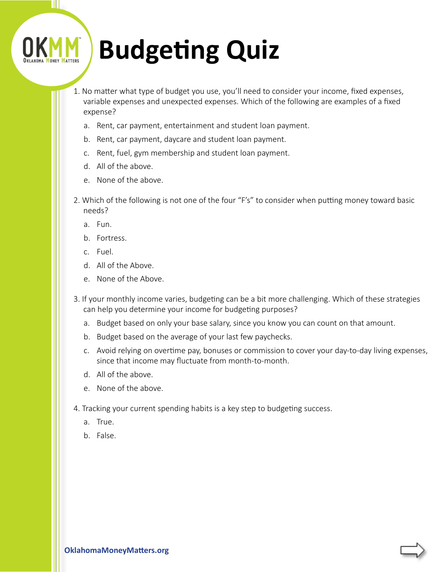## **Budgeting Quiz**

- 1. No matter what type of budget you use, you'll need to consider your income, fixed expenses, variable expenses and unexpected expenses. Which of the following are examples of a fixed expense?
	- a. Rent, car payment, entertainment and student loan payment.
	- b. Rent, car payment, daycare and student loan payment.
	- c. Rent, fuel, gym membership and student loan payment.
	- d. All of the above.
	- e. None of the above.
- 2. Which of the following is not one of the four "F's" to consider when putting money toward basic needs?
	- a. Fun.

Ш

- b. Fortress.
- c. Fuel.
- d. All of the Above.
- e. None of the Above.
- 3. If your monthly income varies, budgeting can be a bit more challenging. Which of these strategies can help you determine your income for budgeting purposes?
	- a. Budget based on only your base salary, since you know you can count on that amount.
	- b. Budget based on the average of your last few paychecks.
	- c. Avoid relying on overtime pay, bonuses or commission to cover your day-to-day living expenses, since that income may fluctuate from month-to-month.
	- d. All of the above.
	- e. None of the above.
- 4. Tracking your current spending habits is a key step to budgeting success.
	- a. True.
	- b. False.